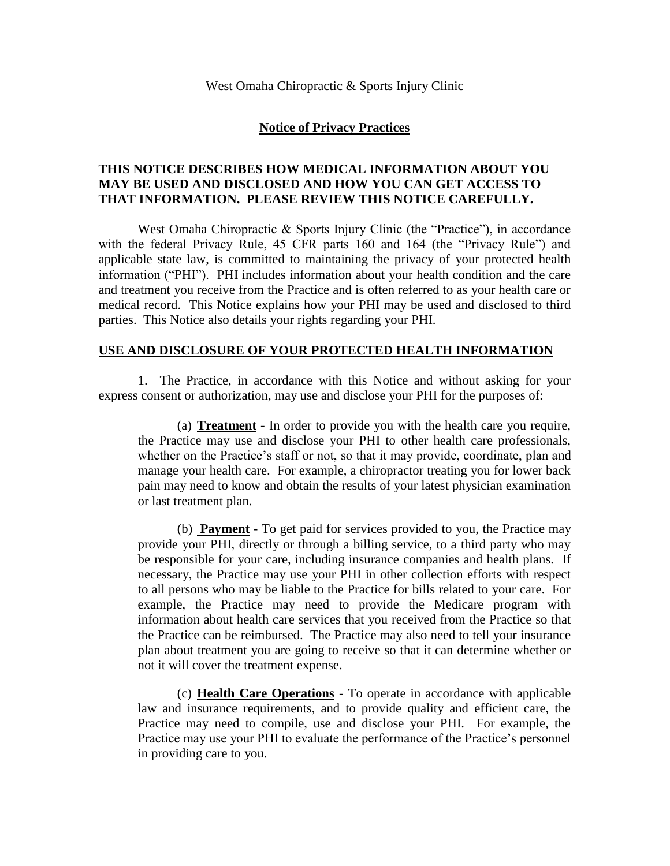#### **Notice of Privacy Practices**

## **THIS NOTICE DESCRIBES HOW MEDICAL INFORMATION ABOUT YOU MAY BE USED AND DISCLOSED AND HOW YOU CAN GET ACCESS TO THAT INFORMATION. PLEASE REVIEW THIS NOTICE CAREFULLY.**

West Omaha Chiropractic & Sports Injury Clinic (the "Practice"), in accordance with the federal Privacy Rule, 45 CFR parts 160 and 164 (the "Privacy Rule") and applicable state law, is committed to maintaining the privacy of your protected health information ("PHI"). PHI includes information about your health condition and the care and treatment you receive from the Practice and is often referred to as your health care or medical record. This Notice explains how your PHI may be used and disclosed to third parties. This Notice also details your rights regarding your PHI.

#### **USE AND DISCLOSURE OF YOUR PROTECTED HEALTH INFORMATION**

1. The Practice, in accordance with this Notice and without asking for your express consent or authorization, may use and disclose your PHI for the purposes of:

(a) **Treatment** - In order to provide you with the health care you require, the Practice may use and disclose your PHI to other health care professionals, whether on the Practice's staff or not, so that it may provide, coordinate, plan and manage your health care. For example, a chiropractor treating you for lower back pain may need to know and obtain the results of your latest physician examination or last treatment plan.

(b) **Payment** - To get paid for services provided to you, the Practice may provide your PHI, directly or through a billing service, to a third party who may be responsible for your care, including insurance companies and health plans. If necessary, the Practice may use your PHI in other collection efforts with respect to all persons who may be liable to the Practice for bills related to your care. For example, the Practice may need to provide the Medicare program with information about health care services that you received from the Practice so that the Practice can be reimbursed. The Practice may also need to tell your insurance plan about treatment you are going to receive so that it can determine whether or not it will cover the treatment expense.

(c) **Health Care Operations** - To operate in accordance with applicable law and insurance requirements, and to provide quality and efficient care, the Practice may need to compile, use and disclose your PHI. For example, the Practice may use your PHI to evaluate the performance of the Practice's personnel in providing care to you.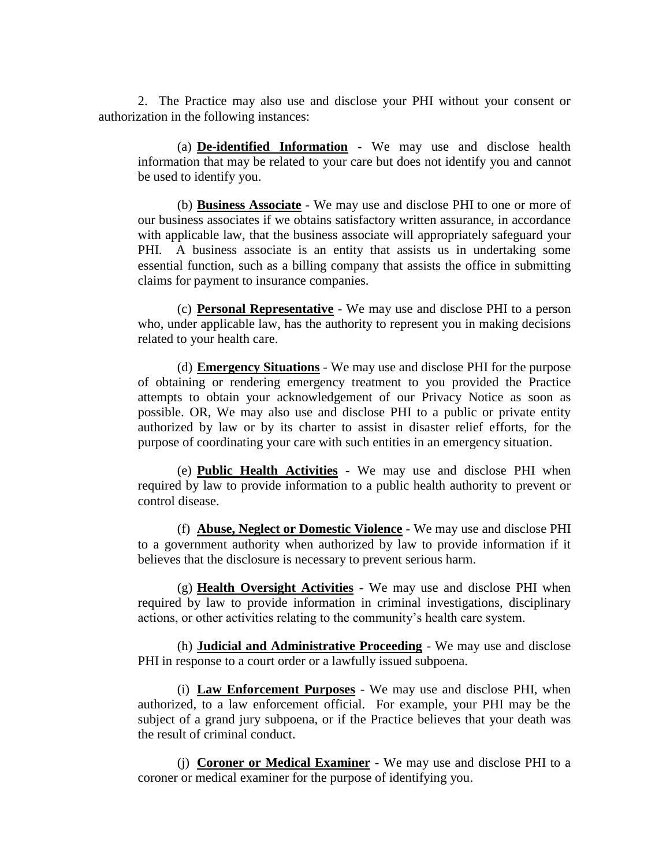2. The Practice may also use and disclose your PHI without your consent or authorization in the following instances:

(a) **De-identified Information** - We may use and disclose health information that may be related to your care but does not identify you and cannot be used to identify you.

(b) **Business Associate** - We may use and disclose PHI to one or more of our business associates if we obtains satisfactory written assurance, in accordance with applicable law, that the business associate will appropriately safeguard your PHI. A business associate is an entity that assists us in undertaking some essential function, such as a billing company that assists the office in submitting claims for payment to insurance companies.

(c) **Personal Representative** - We may use and disclose PHI to a person who, under applicable law, has the authority to represent you in making decisions related to your health care.

(d) **Emergency Situations** - We may use and disclose PHI for the purpose of obtaining or rendering emergency treatment to you provided the Practice attempts to obtain your acknowledgement of our Privacy Notice as soon as possible. OR, We may also use and disclose PHI to a public or private entity authorized by law or by its charter to assist in disaster relief efforts, for the purpose of coordinating your care with such entities in an emergency situation.

(e) **Public Health Activities** - We may use and disclose PHI when required by law to provide information to a public health authority to prevent or control disease.

(f) **Abuse, Neglect or Domestic Violence** - We may use and disclose PHI to a government authority when authorized by law to provide information if it believes that the disclosure is necessary to prevent serious harm.

(g) **Health Oversight Activities** - We may use and disclose PHI when required by law to provide information in criminal investigations, disciplinary actions, or other activities relating to the community's health care system.

(h) **Judicial and Administrative Proceeding** - We may use and disclose PHI in response to a court order or a lawfully issued subpoena.

(i) **Law Enforcement Purposes** - We may use and disclose PHI, when authorized, to a law enforcement official. For example, your PHI may be the subject of a grand jury subpoena, or if the Practice believes that your death was the result of criminal conduct.

(j) **Coroner or Medical Examiner** - We may use and disclose PHI to a coroner or medical examiner for the purpose of identifying you.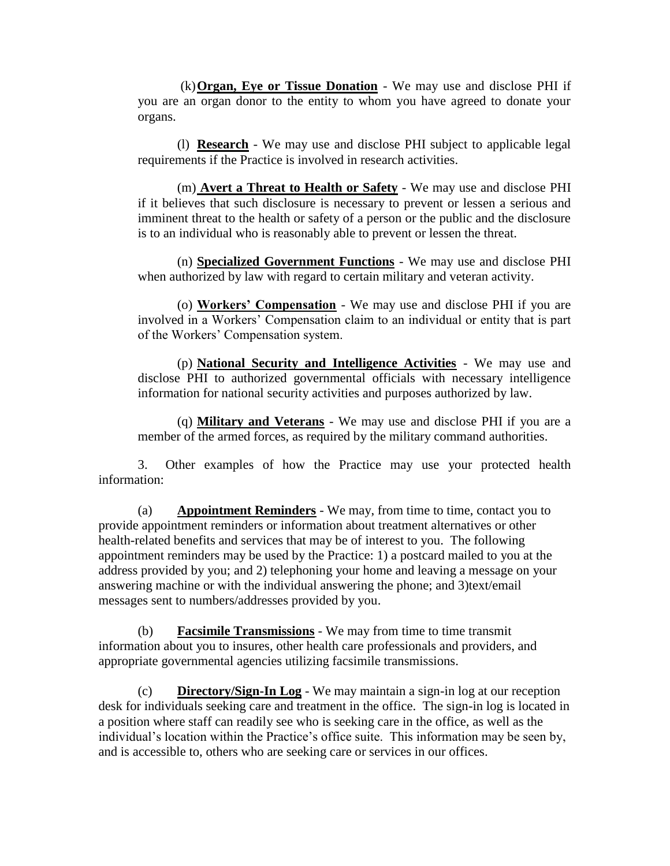(k)**Organ, Eye or Tissue Donation** - We may use and disclose PHI if you are an organ donor to the entity to whom you have agreed to donate your organs.

(l) **Research** - We may use and disclose PHI subject to applicable legal requirements if the Practice is involved in research activities.

(m) **Avert a Threat to Health or Safety** - We may use and disclose PHI if it believes that such disclosure is necessary to prevent or lessen a serious and imminent threat to the health or safety of a person or the public and the disclosure is to an individual who is reasonably able to prevent or lessen the threat.

(n) **Specialized Government Functions** - We may use and disclose PHI when authorized by law with regard to certain military and veteran activity.

(o) **Workers' Compensation** - We may use and disclose PHI if you are involved in a Workers' Compensation claim to an individual or entity that is part of the Workers' Compensation system.

(p) **National Security and Intelligence Activities** - We may use and disclose PHI to authorized governmental officials with necessary intelligence information for national security activities and purposes authorized by law.

(q) **Military and Veterans** - We may use and disclose PHI if you are a member of the armed forces, as required by the military command authorities.

3. Other examples of how the Practice may use your protected health information:

(a) **Appointment Reminders** - We may, from time to time, contact you to provide appointment reminders or information about treatment alternatives or other health-related benefits and services that may be of interest to you. The following appointment reminders may be used by the Practice: 1) a postcard mailed to you at the address provided by you; and 2) telephoning your home and leaving a message on your answering machine or with the individual answering the phone; and 3)text/email messages sent to numbers/addresses provided by you.

(b) **Facsimile Transmissions** - We may from time to time transmit information about you to insures, other health care professionals and providers, and appropriate governmental agencies utilizing facsimile transmissions.

(c) **Directory/Sign-In Log** - We may maintain a sign-in log at our reception desk for individuals seeking care and treatment in the office. The sign-in log is located in a position where staff can readily see who is seeking care in the office, as well as the individual's location within the Practice's office suite. This information may be seen by, and is accessible to, others who are seeking care or services in our offices.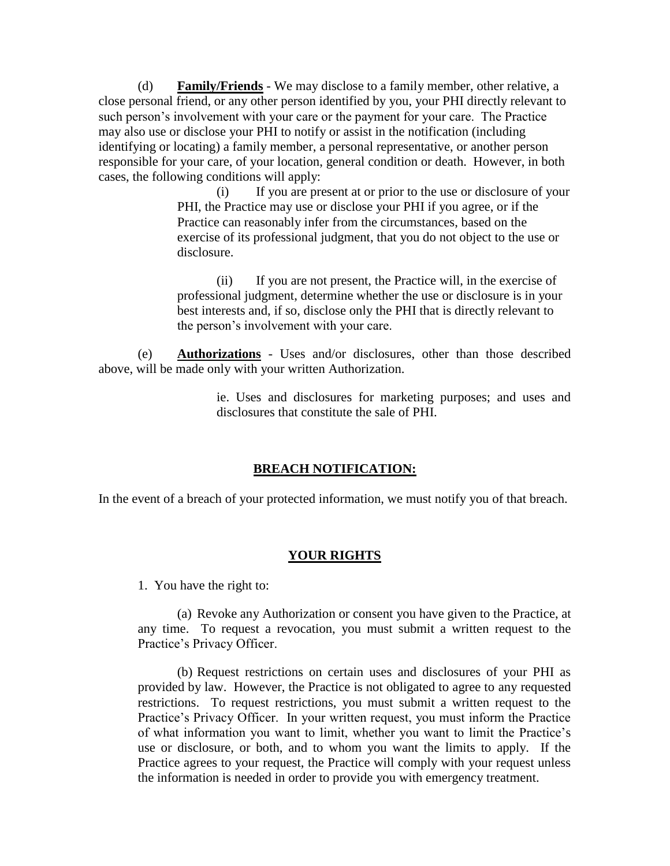(d) **Family/Friends** - We may disclose to a family member, other relative, a close personal friend, or any other person identified by you, your PHI directly relevant to such person's involvement with your care or the payment for your care. The Practice may also use or disclose your PHI to notify or assist in the notification (including identifying or locating) a family member, a personal representative, or another person responsible for your care, of your location, general condition or death. However, in both cases, the following conditions will apply:

> (i) If you are present at or prior to the use or disclosure of your PHI, the Practice may use or disclose your PHI if you agree, or if the Practice can reasonably infer from the circumstances, based on the exercise of its professional judgment, that you do not object to the use or disclosure.

(ii) If you are not present, the Practice will, in the exercise of professional judgment, determine whether the use or disclosure is in your best interests and, if so, disclose only the PHI that is directly relevant to the person's involvement with your care.

(e) **Authorizations** - Uses and/or disclosures, other than those described above, will be made only with your written Authorization.

> ie. Uses and disclosures for marketing purposes; and uses and disclosures that constitute the sale of PHI.

## **BREACH NOTIFICATION:**

In the event of a breach of your protected information, we must notify you of that breach.

## **YOUR RIGHTS**

1. You have the right to:

(a) Revoke any Authorization or consent you have given to the Practice, at any time. To request a revocation, you must submit a written request to the Practice's Privacy Officer.

(b) Request restrictions on certain uses and disclosures of your PHI as provided by law. However, the Practice is not obligated to agree to any requested restrictions. To request restrictions, you must submit a written request to the Practice's Privacy Officer. In your written request, you must inform the Practice of what information you want to limit, whether you want to limit the Practice's use or disclosure, or both, and to whom you want the limits to apply. If the Practice agrees to your request, the Practice will comply with your request unless the information is needed in order to provide you with emergency treatment.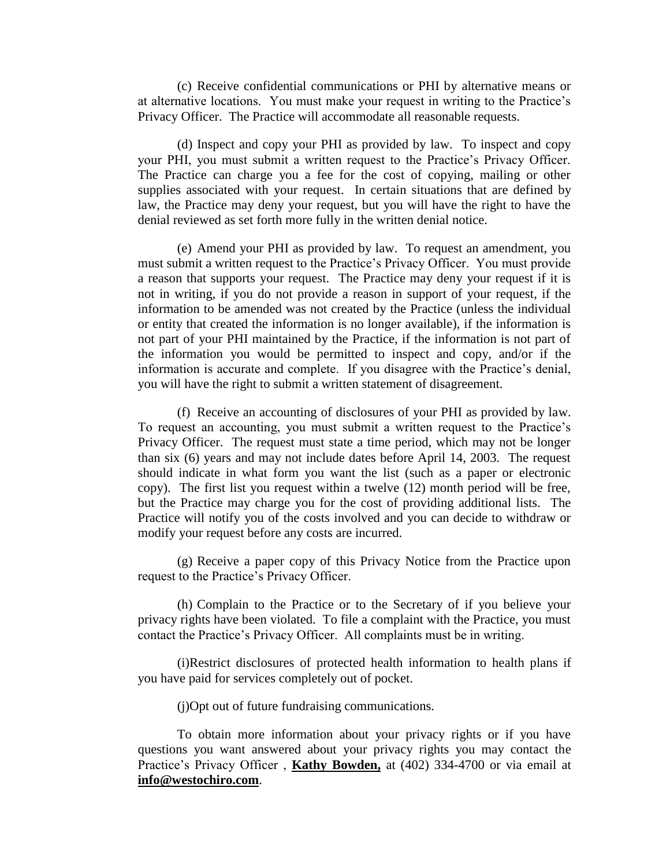(c) Receive confidential communications or PHI by alternative means or at alternative locations. You must make your request in writing to the Practice's Privacy Officer. The Practice will accommodate all reasonable requests.

(d) Inspect and copy your PHI as provided by law. To inspect and copy your PHI, you must submit a written request to the Practice's Privacy Officer. The Practice can charge you a fee for the cost of copying, mailing or other supplies associated with your request. In certain situations that are defined by law, the Practice may deny your request, but you will have the right to have the denial reviewed as set forth more fully in the written denial notice.

(e) Amend your PHI as provided by law. To request an amendment, you must submit a written request to the Practice's Privacy Officer. You must provide a reason that supports your request. The Practice may deny your request if it is not in writing, if you do not provide a reason in support of your request, if the information to be amended was not created by the Practice (unless the individual or entity that created the information is no longer available), if the information is not part of your PHI maintained by the Practice, if the information is not part of the information you would be permitted to inspect and copy, and/or if the information is accurate and complete. If you disagree with the Practice's denial, you will have the right to submit a written statement of disagreement.

(f) Receive an accounting of disclosures of your PHI as provided by law. To request an accounting, you must submit a written request to the Practice's Privacy Officer. The request must state a time period, which may not be longer than six (6) years and may not include dates before April 14, 2003. The request should indicate in what form you want the list (such as a paper or electronic copy). The first list you request within a twelve (12) month period will be free, but the Practice may charge you for the cost of providing additional lists. The Practice will notify you of the costs involved and you can decide to withdraw or modify your request before any costs are incurred.

(g) Receive a paper copy of this Privacy Notice from the Practice upon request to the Practice's Privacy Officer.

(h) Complain to the Practice or to the Secretary of if you believe your privacy rights have been violated. To file a complaint with the Practice, you must contact the Practice's Privacy Officer. All complaints must be in writing.

(i)Restrict disclosures of protected health information to health plans if you have paid for services completely out of pocket.

(j)Opt out of future fundraising communications.

To obtain more information about your privacy rights or if you have questions you want answered about your privacy rights you may contact the Practice's Privacy Officer , **Kathy Bowden,** at (402) 334-4700 or via email at **info@westochiro.com**.